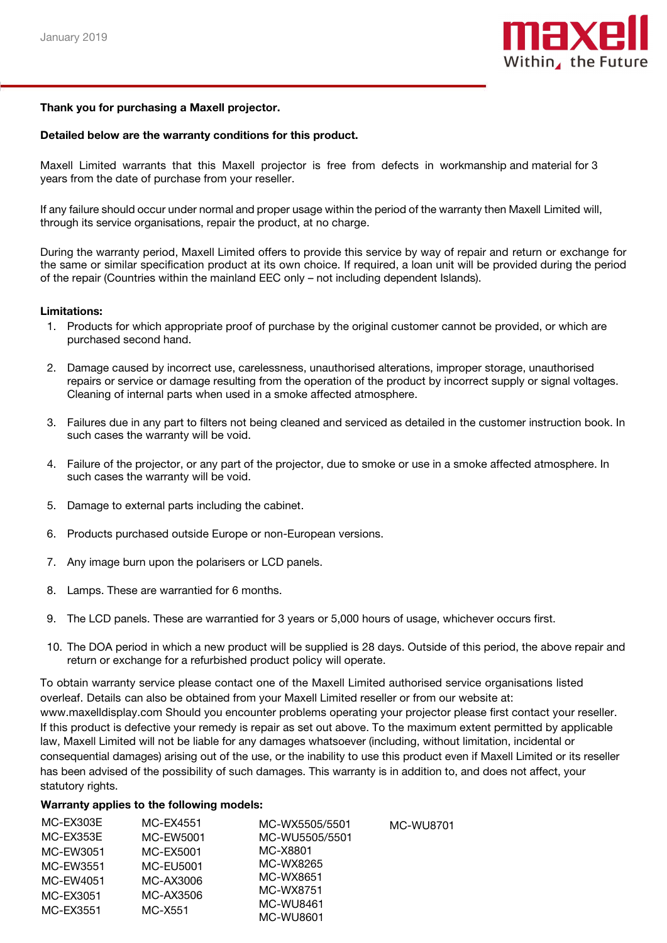

## Thank you for purchasing a Maxell projector.

## Detailed below are the warranty conditions for this product.

Maxell Limited warrants that this Maxell projector is free from defects in workmanship and material for 3 years from the date of purchase from your reseller.

If any failure should occur under normal and proper usage within the period of the warranty then Maxell Limited will, through its service organisations, repair the product, at no charge.

During the warranty period, Maxell Limited offers to provide this service by way of repair and return or exchange for the same or similar specification product at its own choice. If required, a loan unit will be provided during the period of the repair (Countries within the mainland EEC only – not including dependent Islands).

#### Limitations:

- 1. Products for which appropriate proof of purchase by the original customer cannot be provided, or which are purchased second hand.
- 2. Damage caused by incorrect use, carelessness, unauthorised alterations, improper storage, unauthorised repairs or service or damage resulting from the operation of the product by incorrect supply or signal voltages. Cleaning of internal parts when used in a smoke affected atmosphere.
- 3. Failures due in any part to filters not being cleaned and serviced as detailed in the customer instruction book. In such cases the warranty will be void.
- 4. Failure of the projector, or any part of the projector, due to smoke or use in a smoke affected atmosphere. In such cases the warranty will be void.
- 5. Damage to external parts including the cabinet.
- 6. Products purchased outside Europe or non-European versions.
- 7. Any image burn upon the polarisers or LCD panels.
- 8. Lamps. These are warrantied for 6 months.
- 9. The LCD panels. These are warrantied for 3 years or 5,000 hours of usage, whichever occurs first.
- 10. The DOA period in which a new product will be supplied is 28 days. Outside of this period, the above repair and return or exchange for a refurbished product policy will operate.

To obtain warranty service please contact one of the Maxell Limited authorised service organisations listed overleaf. Details can also be obtained from your Maxell Limited reseller or from our website at: www.maxelldisplay.com Should you encounter problems operating your projector please first contact your reseller. If this product is defective your remedy is repair as set out above. To the maximum extent permitted by applicable law, Maxell Limited will not be liable for any damages whatsoever (including, without limitation, incidental or consequential damages) arising out of the use, or the inability to use this product even if Maxell Limited or its reseller has been advised of the possibility of such damages. This warranty is in addition to, and does not affect, your statutory rights.

## Warranty applies to the following models:

| MC-EX303E | MC-EX4551 | MC-WX5505/5501 | <b>MC-WU8701</b> |
|-----------|-----------|----------------|------------------|
| MC-EX353E | MC-EW5001 | MC-WU5505/5501 |                  |
| MC-EW3051 | MC-EX5001 | MC-X8801       |                  |
| MC-EW3551 | MC-EU5001 | MC-WX8265      |                  |
| MC-EW4051 | MC-AX3006 | MC-WX8651      |                  |
| MC-EX3051 | MC-AX3506 | MC-WX8751      |                  |
| MC-EX3551 | MC-X551   | MC-WU8461      |                  |
|           |           | MC-WU8601      |                  |